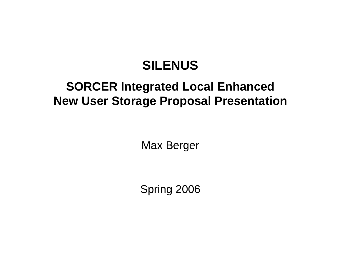### **SILENUS**

### **SORCER Integrated Local Enhanced New User Storage Proposal Presentation**

Max Berger

Spring 2006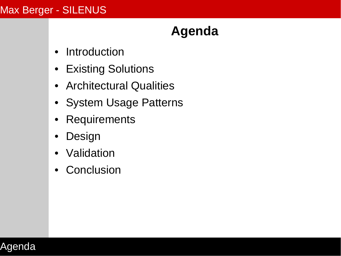### **Agenda**

- [Introduction](#page-2-0)
- [Existing Solutions](#page-8-0)
- [Architectural Qualities](#page-9-0)
- [System Usage Patterns](#page-20-0)
- [Requirements](#page-23-0)
- [Design](#page-24-0)
- [Validation](#page-29-0)
- [Conclusion](#page-34-0)

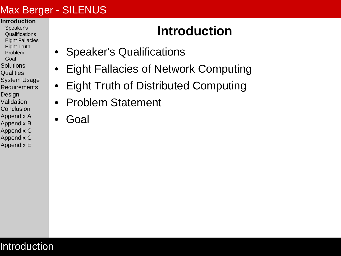#### <span id="page-2-0"></span>**[Introduction](#page-2-0)**

- [Speaker's](#page-3-0) **[Qualifications](#page-3-0)**
- [Eight Fallacies](#page-4-0)
- [Eight Truth](#page-5-0)
- [Problem](#page-6-0)
- [Goal](#page-7-0) **[Solutions](#page-8-0)**
- **[Qualities](#page-9-0)**
- [System Usage](#page-20-0)
- **[Requirements](#page-23-0)**
- **[Design](#page-24-0)**
- [Validation](#page-29-0)
- **[Conclusion](#page-34-0)**
- [Appendix A](#page-37-0)
- [Appendix B](#page-45-0) [Appendix C](#page-50-0)
- [Appendix C](#page-55-0)
- [Appendix E](#page-65-0)

Introduction

### **Introduction**

- [Speaker's Qualifications](#page-3-0)
- [Eight Fallacies of Network Computing](#page-4-0)
- [Eight Truth of Distributed Computing](#page-5-0)
- [Problem Statement](#page-6-0)
- [Goal](#page-7-0)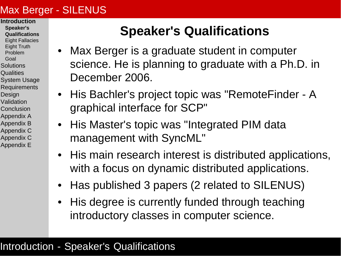- <span id="page-3-0"></span>**[Introduction](#page-2-0)**
- **[Speaker's](#page-3-0) [Qualifications](#page-3-0)**
- [Eight Fallacies](#page-4-0)
- [Eight Truth](#page-5-0)
- [Problem](#page-6-0)
- [Goal](#page-7-0)
- **[Solutions](#page-8-0)**
- **[Qualities](#page-9-0)**
- [System Usage](#page-20-0)
- **[Requirements](#page-23-0)**
- **[Design](#page-24-0)**
- [Validation](#page-29-0) **[Conclusion](#page-34-0)**
- [Appendix A](#page-37-0)
- [Appendix B](#page-45-0)
- [Appendix C](#page-50-0)
- [Appendix C](#page-55-0)
- [Appendix E](#page-65-0)

### **Speaker's Qualifications**

- Max Berger is a graduate student in computer science. He is planning to graduate with a Ph.D. in December 2006.
- His Bachler's project topic was "RemoteFinder A graphical interface for SCP"
- His Master's topic was "Integrated PIM data management with SyncML"
- His main research interest is distributed applications, with a focus on dynamic distributed applications.
- Has published 3 papers (2 related to SILENUS)
- His degree is currently funded through teaching introductory classes in computer science.

#### Introduction - Speaker's Qualifications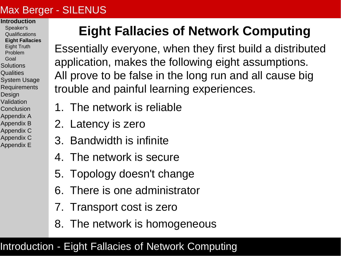#### <span id="page-4-0"></span>**[Introduction](#page-2-0)**

- [Speaker's](#page-3-0) **[Qualifications](#page-3-0)**
- **[Eight Fallacies](#page-4-0)**
- [Eight Truth](#page-5-0) [Problem](#page-6-0)
- [Goal](#page-7-0)
- **[Solutions](#page-8-0)**
- **[Qualities](#page-9-0)**
- [System Usage](#page-20-0)
- **[Requirements](#page-23-0)**
- [Design](#page-24-0)
- [Validation](#page-29-0)
- **[Conclusion](#page-34-0)**
- [Appendix A](#page-37-0)
- [Appendix B](#page-45-0)
- [Appendix C](#page-50-0)
- [Appendix C](#page-55-0)
- [Appendix E](#page-65-0)

# **Eight Fallacies of Network Computing**

Essentially everyone, when they first build a distributed application, makes the following eight assumptions. All prove to be false in the long run and all cause big trouble and painful learning experiences.

- 1. The network is reliable
- 2. Latency is zero
- 3. Bandwidth is infinite
- 4. The network is secure
- 5. Topology doesn't change
- 6. There is one administrator
- 7. Transport cost is zero
- 8. The network is homogeneous

#### Introduction - Eight Fallacies of Network Computing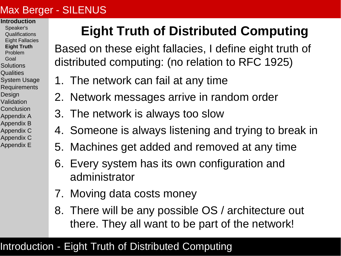#### <span id="page-5-0"></span>**[Introduction](#page-2-0)**

- [Speaker's](#page-3-0) **[Qualifications](#page-3-0)**
- [Eight Fallacies](#page-4-0)
- **[Eight Truth](#page-5-0)**
- [Problem](#page-6-0)
- [Goal](#page-7-0)
- **[Solutions](#page-8-0)**
- **[Qualities](#page-9-0)**
- [System Usage](#page-20-0) **[Requirements](#page-23-0)**
- **[Design](#page-24-0)**
- [Validation](#page-29-0)
- **[Conclusion](#page-34-0)**
- [Appendix A](#page-37-0)
- [Appendix B](#page-45-0)
- [Appendix C](#page-50-0)
- [Appendix C](#page-55-0)
- [Appendix E](#page-65-0)

# **Eight Truth of Distributed Computing**

Based on these eight fallacies, I define eight truth of distributed computing: (no relation to RFC 1925)

- 1. The network can fail at any time
- 2. Network messages arrive in random order
- 3. The network is always too slow
- 4. Someone is always listening and trying to break in
- 5. Machines get added and removed at any time
- 6. Every system has its own configuration and administrator
- 7. Moving data costs money
- 8. There will be any possible OS / architecture out there. They all want to be part of the network!

### Introduction - Eight Truth of Distributed Computing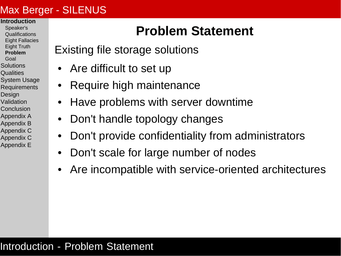- <span id="page-6-0"></span>**[Introduction](#page-2-0)**
- [Speaker's](#page-3-0) **[Qualifications](#page-3-0)**
- [Eight Fallacies](#page-4-0)
- [Eight Truth](#page-5-0)
- **[Problem](#page-6-0)**
- [Goal](#page-7-0)
- **[Solutions](#page-8-0)**
- **[Qualities](#page-9-0)**
- [System Usage](#page-20-0) **[Requirements](#page-23-0)**
- [Design](#page-24-0)
- [Validation](#page-29-0)
- **[Conclusion](#page-34-0)**
- [Appendix A](#page-37-0)
- [Appendix B](#page-45-0)
- [Appendix C](#page-50-0)
- [Appendix C](#page-55-0)
- [Appendix E](#page-65-0)

### **Problem Statement**

- Existing file storage solutions
	- Are difficult to set up
	- Require high maintenance
	- Have problems with server downtime
	- Don't handle topology changes
	- Don't provide confidentiality from administrators
	- Don't scale for large number of nodes
	- Are incompatible with service-oriented architectures

#### Introduction - Problem Statement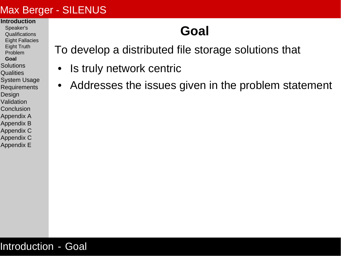#### <span id="page-7-0"></span>**[Introduction](#page-2-0)**

- [Speaker's](#page-3-0) **[Qualifications](#page-3-0)**
- [Eight Fallacies](#page-4-0)
- [Eight Truth](#page-5-0)
- [Problem](#page-6-0)
- **[Goal](#page-7-0)**
- **[Solutions](#page-8-0)**
- **[Qualities](#page-9-0)**
- [System Usage](#page-20-0)
- **[Requirements](#page-23-0)**
- [Design](#page-24-0)
- [Validation](#page-29-0)
- **[Conclusion](#page-34-0)**
- [Appendix A](#page-37-0) [Appendix B](#page-45-0)
- [Appendix C](#page-50-0)
- [Appendix C](#page-55-0)
- [Appendix E](#page-65-0)

### **Goal**

To develop a distributed file storage solutions that

- Is truly network centric
- Addresses the issues given in the problem statement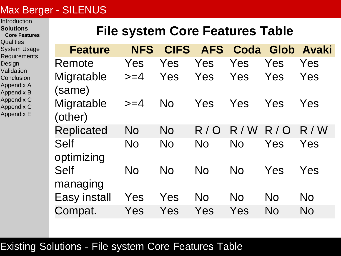#### <span id="page-8-0"></span>**[Introduction](#page-2-0)**

- **[Solutions](#page-8-0)**
- **[Core Features](#page-8-0)**
- **[Qualities](#page-9-0)**
- [System Usage](#page-20-0)
- **[Requirements](#page-23-0)**
- [Design](#page-24-0)
- [Validation](#page-29-0)
- **[Conclusion](#page-34-0)**
- [Appendix A](#page-37-0)
- [Appendix B](#page-45-0)
- [Appendix C](#page-50-0)
- 
- [Appendix C](#page-55-0)
- [Appendix E](#page-65-0)

### **File system Core Features Table**

| <b>Feature</b>            | <b>NFS</b> | <b>CIFS</b> | <b>AFS</b> |           |           | Coda Glob Avaki |
|---------------------------|------------|-------------|------------|-----------|-----------|-----------------|
| Remote                    | Yes        | Yes         | Yes        | Yes       | Yes       | Yes             |
| Migratable<br>(same)      | $>=$ 4     | Yes         | Yes        | Yes       | Yes       | Yes             |
| Migratable<br>(other)     | $>=$ 4     | <b>No</b>   | Yes        | Yes       | Yes       | Yes             |
| <b>Replicated</b>         | <b>No</b>  | <b>No</b>   | R/O        | R / W     | R/O       | R / W           |
| <b>Self</b><br>optimizing | <b>No</b>  | <b>No</b>   | <b>No</b>  | <b>No</b> | Yes       | Yes             |
| <b>Self</b><br>managing   | <b>No</b>  | <b>No</b>   | <b>No</b>  | <b>No</b> | Yes       | Yes             |
| <b>Easy install</b>       | Yes        | Yes         | No         | No        | <b>No</b> | <b>No</b>       |
| Compat.                   | Yes        | Yes         | Yes        | Yes       | No        | No              |

#### Existing Solutions - File system Core Features Table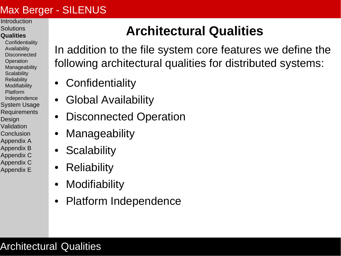- <span id="page-9-0"></span>[Introduction](#page-2-0) **[Solutions](#page-8-0)**
- **[Qualities](#page-9-0)**
- **[Confidentiality](#page-10-0)** [Availability](#page-12-0) **[Disconnected](#page-14-0) [Operation](#page-14-0)** [Manageability](#page-15-0) **[Scalability](#page-16-0) [Reliability](#page-17-0) [Modifiability](#page-18-0)** [Platform](#page-19-0) [Independence](#page-19-0) [System Usage](#page-20-0)
- **[Requirements](#page-23-0) [Design](#page-24-0)** [Validation](#page-29-0)
- [Conclusion](#page-34-0)
- [Appendix A](#page-37-0)
- [Appendix B](#page-45-0)
- [Appendix C](#page-50-0)
- [Appendix C](#page-55-0) [Appendix E](#page-65-0)

# **Architectural Qualities**

In addition to the file system core features we define the following architectural qualities for distributed systems:

- **[Confidentiality](#page-10-0)**
- [Global Availability](#page-12-0)
- [Disconnected Operation](#page-14-0)
- **[Manageability](#page-15-0)**
- [Scalability](#page-16-0)
- [Reliability](#page-17-0)
- **[Modifiability](#page-18-0)**
- [Platform Independence](#page-19-0)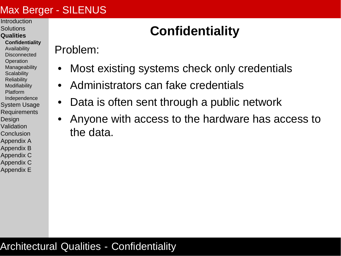- <span id="page-10-0"></span>[Introduction](#page-2-0)
- **[Solutions](#page-8-0) [Qualities](#page-9-0)**
- **[Confidentiality](#page-10-0)** [Availability](#page-12-0) **[Disconnected](#page-14-0) [Operation](#page-14-0)** [Manageability](#page-15-0) **[Scalability](#page-16-0) [Reliability](#page-17-0) [Modifiability](#page-18-0)** [Platform](#page-19-0)
- [Independence](#page-19-0)
- [System Usage](#page-20-0) **[Requirements](#page-23-0)**
- **[Design](#page-24-0)**
- [Validation](#page-29-0)
- [Conclusion](#page-34-0)
- [Appendix A](#page-37-0)
- [Appendix B](#page-45-0)
- [Appendix C](#page-50-0)
- [Appendix C](#page-55-0) [Appendix E](#page-65-0)

# **Confidentiality**

Problem:

- Most existing systems check only credentials
- Administrators can fake credentials
- Data is often sent through a public network
- Anyone with access to the hardware has access to the data.

### Architectural Qualities - Confidentiality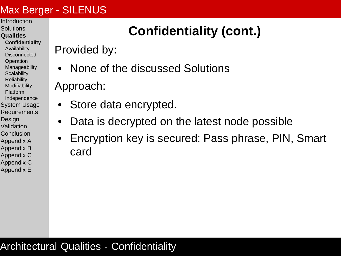- [Introduction](#page-2-0) **[Solutions](#page-8-0)**
- **[Qualities](#page-9-0)**
- **[Confidentiality](#page-10-0)** [Availability](#page-12-0) **[Disconnected](#page-14-0) [Operation](#page-14-0)** [Manageability](#page-15-0) **[Scalability](#page-16-0) [Reliability](#page-17-0) [Modifiability](#page-18-0)** [Platform](#page-19-0) [Independence](#page-19-0) [System Usage](#page-20-0) **[Requirements](#page-23-0) [Design](#page-24-0)**
- [Validation](#page-29-0) [Conclusion](#page-34-0)
- [Appendix A](#page-37-0)
- [Appendix B](#page-45-0)
- [Appendix C](#page-50-0)
- [Appendix C](#page-55-0) [Appendix E](#page-65-0)

# **Confidentiality (cont.)**

Provided by:

• None of the discussed Solutions

Approach:

- Store data encrypted.
- Data is decrypted on the latest node possible
- Encryption key is secured: Pass phrase, PIN, Smart card

#### Architectural Qualities - Confidentiality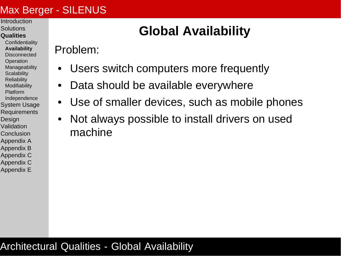- <span id="page-12-0"></span>[Introduction](#page-2-0) **[Solutions](#page-8-0)**
- **[Qualities](#page-9-0)**
- **[Confidentiality](#page-10-0) [Availability](#page-12-0) [Disconnected](#page-14-0) [Operation](#page-14-0)** [Manageability](#page-15-0) **[Scalability](#page-16-0) [Reliability](#page-17-0) [Modifiability](#page-18-0)** [Platform](#page-19-0) [Independence](#page-19-0) [System Usage](#page-20-0) **[Requirements](#page-23-0) [Design](#page-24-0)** [Validation](#page-29-0)
- [Conclusion](#page-34-0)
- [Appendix A](#page-37-0)
- [Appendix B](#page-45-0)
- [Appendix C](#page-50-0) [Appendix C](#page-55-0)
- [Appendix E](#page-65-0)

# **Global Availability**

Problem:

- Users switch computers more frequently
- Data should be available everywhere
- Use of smaller devices, such as mobile phones
- Not always possible to install drivers on used machine

#### Architectural Qualities - Global Availability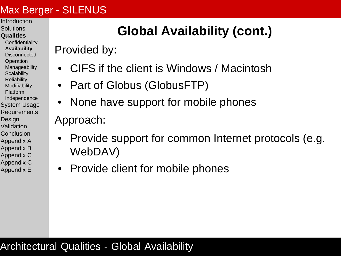- [Introduction](#page-2-0) **[Solutions](#page-8-0)**
- **[Qualities](#page-9-0)**
- **[Confidentiality](#page-10-0) [Availability](#page-12-0) [Disconnected](#page-14-0) [Operation](#page-14-0)** [Manageability](#page-15-0) **[Scalability](#page-16-0) [Reliability](#page-17-0) [Modifiability](#page-18-0)** [Platform](#page-19-0) [Independence](#page-19-0) [System Usage](#page-20-0) **[Requirements](#page-23-0)** [Design](#page-24-0) [Validation](#page-29-0) [Conclusion](#page-34-0) [Appendix A](#page-37-0) [Appendix B](#page-45-0)
- [Appendix C](#page-50-0)
- [Appendix C](#page-55-0) [Appendix E](#page-65-0)

## **Global Availability (cont.)**

Provided by:

- CIFS if the client is Windows / Macintosh
- Part of Globus (GlobusFTP)
- None have support for mobile phones Approach:
- Provide support for common Internet protocols (e.g. WebDAV)
- Provide client for mobile phones

#### Architectural Qualities - Global Availability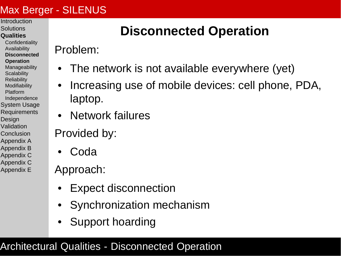- <span id="page-14-0"></span>[Introduction](#page-2-0) **[Solutions](#page-8-0)**
- **[Qualities](#page-9-0)**
- **[Confidentiality](#page-10-0)** [Availability](#page-12-0) **[Disconnected](#page-14-0) [Operation](#page-14-0)** [Manageability](#page-15-0) **[Scalability](#page-16-0) [Reliability](#page-17-0) [Modifiability](#page-18-0)** [Platform](#page-19-0) [Independence](#page-19-0) [System Usage](#page-20-0) **[Requirements](#page-23-0)** [Design](#page-24-0) [Validation](#page-29-0) [Conclusion](#page-34-0) [Appendix A](#page-37-0) [Appendix B](#page-45-0) [Appendix C](#page-50-0)
- [Appendix C](#page-55-0)
- [Appendix E](#page-65-0)

## **Disconnected Operation**

Problem:

- The network is not available everywhere (yet)
- Increasing use of mobile devices: cell phone, PDA, laptop.
- Network failures

Provided by:

• Coda

Approach:

- Expect disconnection
- Synchronization mechanism
- Support hoarding

### Architectural Qualities - Disconnected Operation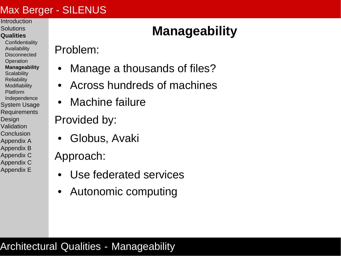- <span id="page-15-0"></span>[Introduction](#page-2-0) **[Solutions](#page-8-0)**
- **[Qualities](#page-9-0)**
- **[Confidentiality](#page-10-0)** [Availability](#page-12-0) **[Disconnected](#page-14-0) [Operation](#page-14-0) [Manageability](#page-15-0) [Scalability](#page-16-0) [Reliability](#page-17-0) [Modifiability](#page-18-0)** [Platform](#page-19-0) [Independence](#page-19-0) [System Usage](#page-20-0) **[Requirements](#page-23-0)** [Design](#page-24-0) [Validation](#page-29-0) [Conclusion](#page-34-0)
- [Appendix A](#page-37-0) [Appendix B](#page-45-0)
- [Appendix C](#page-50-0)
- [Appendix C](#page-55-0) [Appendix E](#page-65-0)

# **Manageability**

Problem:

- Manage a thousands of files?
- Across hundreds of machines
- Machine failure

Provided by:

• Globus, Avaki

Approach:

- Use federated services
- Autonomic computing

### Architectural Qualities - Manageability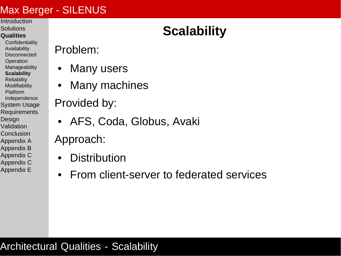- <span id="page-16-0"></span>[Introduction](#page-2-0) **[Solutions](#page-8-0)**
- **[Qualities](#page-9-0)**
- **[Confidentiality](#page-10-0)** [Availability](#page-12-0) **[Disconnected](#page-14-0) [Operation](#page-14-0)** [Manageability](#page-15-0) **[Scalability](#page-16-0) [Reliability](#page-17-0) [Modifiability](#page-18-0)** [Platform](#page-19-0) [Independence](#page-19-0) [System Usage](#page-20-0) **[Requirements](#page-23-0)** [Design](#page-24-0) [Validation](#page-29-0) **[Conclusion](#page-34-0)** [Appendix A](#page-37-0)
- [Appendix B](#page-45-0) [Appendix C](#page-50-0)
- [Appendix C](#page-55-0)
- [Appendix E](#page-65-0)

### Problem:

- Many users
- Many machines
- Provided by:
	- AFS, Coda, Globus, Avaki
- Approach:
	- **Distribution**
	- From client-server to federated services

# **Scalability**

#### Architectural Qualities - Scalability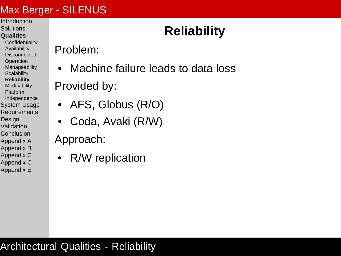- <span id="page-17-0"></span>**[Introduction](#page-2-0) [Solutions](#page-8-0)**
- **[Qualities](#page-9-0)**
- **[Confidentiality](#page-10-0)** [Availability](#page-12-0) **[Disconnected](#page-14-0) [Operation](#page-14-0)** [Manageability](#page-15-0) **[Scalability](#page-16-0) [Reliability](#page-17-0) [Modifiability](#page-18-0)** [Platform](#page-19-0) [Independence](#page-19-0) [System Usage](#page-20-0) **[Requirements](#page-23-0)** [Design](#page-24-0) [Validation](#page-29-0) **[Conclusion](#page-34-0)**
- [Appendix A](#page-37-0)
- [Appendix B](#page-45-0) [Appendix C](#page-50-0)
- [Appendix C](#page-55-0)
- [Appendix E](#page-65-0)

# **Reliability**

Problem:

- Machine failure leads to data loss Provided by:
- AFS, Globus (R/O)
- Coda, Avaki (R/W)

Approach:

• R/W replication

#### Architectural Qualities - Reliability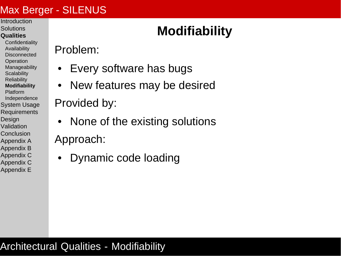- <span id="page-18-0"></span>[Introduction](#page-2-0) **[Solutions](#page-8-0)**
- **[Qualities](#page-9-0)**
- **[Confidentiality](#page-10-0)** [Availability](#page-12-0) **[Disconnected](#page-14-0) [Operation](#page-14-0)** [Manageability](#page-15-0) **[Scalability](#page-16-0) [Reliability](#page-17-0) [Modifiability](#page-18-0)** [Platform](#page-19-0) [Independence](#page-19-0) [System Usage](#page-20-0) **[Requirements](#page-23-0)** [Design](#page-24-0) [Validation](#page-29-0) **[Conclusion](#page-34-0)**
- [Appendix A](#page-37-0)
- [Appendix B](#page-45-0) [Appendix C](#page-50-0)
- [Appendix C](#page-55-0) [Appendix E](#page-65-0)

# **Modifiability**

Problem:

- Every software has bugs
- New features may be desired

Provided by:

- None of the existing solutions Approach:
	- Dynamic code loading

### **Architectural Qualities - Modifiability**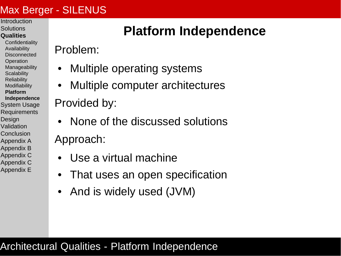- <span id="page-19-0"></span>[Introduction](#page-2-0) **[Solutions](#page-8-0)**
- **[Qualities](#page-9-0)**
- **[Confidentiality](#page-10-0)** [Availability](#page-12-0) **[Disconnected](#page-14-0) [Operation](#page-14-0)** [Manageability](#page-15-0) **[Scalability](#page-16-0) [Reliability](#page-17-0) [Modifiability](#page-18-0) [Platform](#page-19-0) [Independence](#page-19-0)** [System Usage](#page-20-0) **[Requirements](#page-23-0) [Design](#page-24-0)** [Validation](#page-29-0) [Conclusion](#page-34-0) [Appendix A](#page-37-0) [Appendix B](#page-45-0)
- 
- [Appendix C](#page-50-0)
- [Appendix C](#page-55-0) [Appendix E](#page-65-0)

## **Platform Independence**

Problem:

- Multiple operating systems
- Multiple computer architectures

Provided by:

- None of the discussed solutions Approach:
	- Use a virtual machine
	- That uses an open specification
	- And is widely used (JVM)

### Architectural Qualities - Platform Independence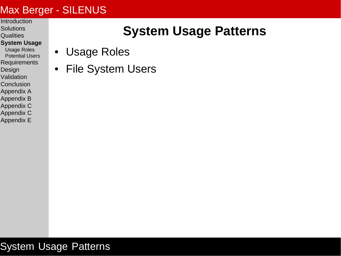- <span id="page-20-0"></span>**[Introduction](#page-2-0)**
- **[Solutions](#page-8-0) [Qualities](#page-9-0)**
- **[System Usage](#page-20-0)**
- [Usage Roles](#page-21-0) [Potential Users](#page-22-0)
- **[Requirements](#page-23-0)**
- **[Design](#page-24-0)**
- [Validation](#page-29-0)
- **[Conclusion](#page-34-0)**
- [Appendix A](#page-37-0)
- [Appendix B](#page-45-0)
- [Appendix C](#page-50-0)
- [Appendix C](#page-55-0)
- [Appendix E](#page-65-0)

### **System Usage Patterns**

- [Usage Roles](#page-21-0)
- [File System Users](#page-22-0)

System Usage Patterns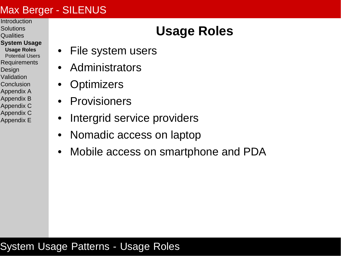- <span id="page-21-0"></span>[Introduction](#page-2-0) **[Solutions](#page-8-0)**
- **[Qualities](#page-9-0)**
- **[System Usage](#page-20-0)**
- **[Usage Roles](#page-21-0)** [Potential Users](#page-22-0) **[Requirements](#page-23-0) [Design](#page-24-0)** [Validation](#page-29-0) **[Conclusion](#page-34-0)**
- [Appendix A](#page-37-0)
- [Appendix B](#page-45-0)
- [Appendix C](#page-50-0)
- [Appendix C](#page-55-0) [Appendix E](#page-65-0)

### **Usage Roles**

- File system users
- Administrators
- **Optimizers**
- **Provisioners**
- Intergrid service providers
- Nomadic access on laptop
- Mobile access on smartphone and PDA

#### System Usage Patterns - Usage Roles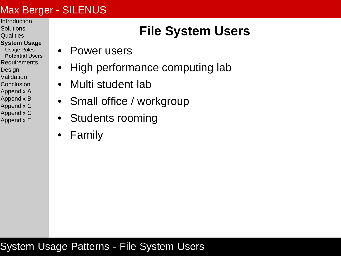- <span id="page-22-0"></span>[Introduction](#page-2-0) **[Solutions](#page-8-0)**
- **[Qualities](#page-9-0)**
- **[System Usage](#page-20-0)**
- [Usage Roles](#page-21-0) **[Potential Users](#page-22-0) [Requirements](#page-23-0) [Design](#page-24-0)** [Validation](#page-29-0) **[Conclusion](#page-34-0)** [Appendix A](#page-37-0) [Appendix B](#page-45-0)
- [Appendix C](#page-50-0)
- [Appendix C](#page-55-0)
- [Appendix E](#page-65-0)

### **File System Users**

- Power users
- High performance computing lab
- Multi student lab
- Small office / workgroup
- Students rooming
- **Family**

#### System Usage Patterns - File System Users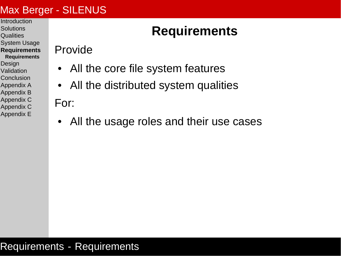- <span id="page-23-0"></span>**[Introduction](#page-2-0)**
- **[Solutions](#page-8-0) [Qualities](#page-9-0)**
- [System Usage](#page-20-0)
- **[Requirements](#page-23-0)**
- **[Requirements](#page-23-0)**
- [Design](#page-24-0)
- [Validation](#page-29-0)
- **[Conclusion](#page-34-0)**
- [Appendix A](#page-37-0)
- [Appendix B](#page-45-0) [Appendix C](#page-50-0)
- [Appendix C](#page-55-0)
- [Appendix E](#page-65-0)

### **Requirements**

Provide

- All the core file system features
- All the distributed system qualities

For:

All the usage roles and their use cases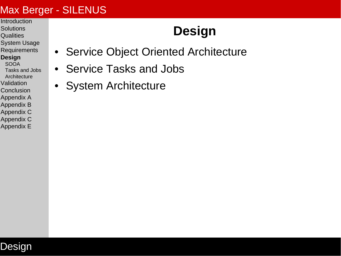- <span id="page-24-0"></span>**[Introduction](#page-2-0) [Solutions](#page-8-0)**
- **[Qualities](#page-9-0)**
- [System Usage](#page-20-0)
- **[Requirements](#page-23-0)**
- **[Design](#page-24-0)**
- [SOOA](#page-25-0) [Tasks and Jobs](#page-27-0)
- [Architecture](#page-28-0)
- [Validation](#page-29-0) **[Conclusion](#page-34-0)**
- 
- [Appendix A](#page-37-0)
- [Appendix B](#page-45-0) [Appendix C](#page-50-0)
- [Appendix C](#page-55-0)
- [Appendix E](#page-65-0)

# **Design**

- [Service Object Oriented Architecture](#page-25-0)
- [Service Tasks and Jobs](#page-27-0)
- [System Architecture](#page-28-0)

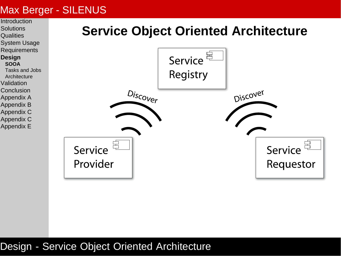<span id="page-25-0"></span>

#### Design - Service Object Oriented Architecture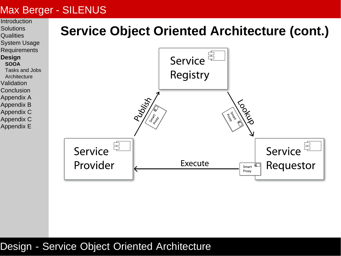

#### Design - Service Object Oriented Architecture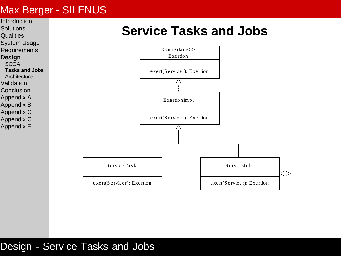<span id="page-27-0"></span>

#### Design - Service Tasks and Jobs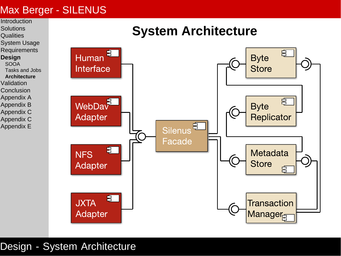<span id="page-28-0"></span>

Design - System Architecture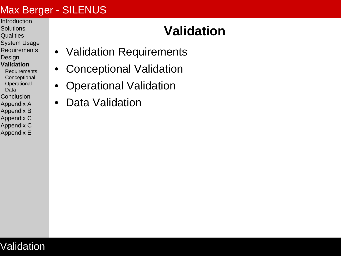- <span id="page-29-0"></span>**[Introduction](#page-2-0) [Solutions](#page-8-0)**
- **[Qualities](#page-9-0)**
- [System Usage](#page-20-0)
- **[Requirements](#page-23-0)**
- [Design](#page-24-0)
- **[Validation](#page-29-0)**
- **[Requirements](#page-30-0) [Conceptional](#page-31-0) [Operational](#page-32-0)** [Data](#page-33-0)
- **[Conclusion](#page-34-0)**
- [Appendix A](#page-37-0)
- [Appendix B](#page-45-0)
- [Appendix C](#page-50-0)
- [Appendix C](#page-55-0) [Appendix E](#page-65-0)

Validation

## **Validation**

- [Validation Requirements](#page-30-0)
- [Conceptional Validation](#page-31-0)
- [Operational Validation](#page-32-0)
- [Data Validation](#page-33-0)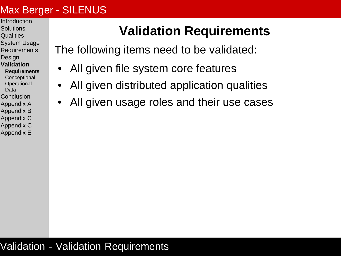- <span id="page-30-0"></span>[Introduction](#page-2-0) **[Solutions](#page-8-0)**
- **[Qualities](#page-9-0)**
- [System Usage](#page-20-0)
- [Requirements](#page-23-0)
- **[Design](#page-24-0)**
- **[Validation](#page-29-0) [Requirements](#page-30-0) [Conceptional](#page-31-0) [Operational](#page-32-0)** [Data](#page-33-0)
- [Conclusion](#page-34-0)
- [Appendix A](#page-37-0)
- [Appendix B](#page-45-0)
- [Appendix C](#page-50-0)
- [Appendix C](#page-55-0) [Appendix E](#page-65-0)

## **Validation Requirements**

The following items need to be validated:

- All given file system core features
- All given distributed application qualities
- All given usage roles and their use cases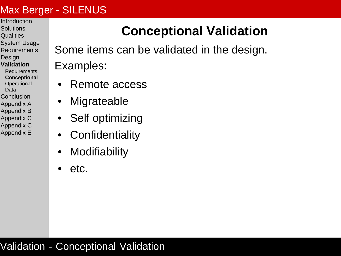- <span id="page-31-0"></span>[Introduction](#page-2-0) **[Solutions](#page-8-0)**
- **[Qualities](#page-9-0)**
- [System Usage](#page-20-0)
- [Requirements](#page-23-0)
- **[Design](#page-24-0)**
- **[Validation](#page-29-0)**
- **[Requirements](#page-30-0) [Conceptional](#page-31-0) [Operational](#page-32-0)**
- [Data](#page-33-0)
- [Conclusion](#page-34-0)
- [Appendix A](#page-37-0)
- [Appendix B](#page-45-0)
- [Appendix C](#page-50-0)
- [Appendix C](#page-55-0) [Appendix E](#page-65-0)

### **Conceptional Validation**

Some items can be validated in the design. Examples:

- Remote access
- **Migrateable**
- Self optimizing
- **Confidentiality**
- **Modifiability**
- etc.

#### Validation - Conceptional Validation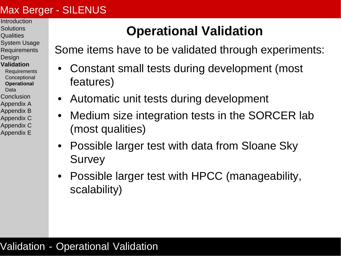- <span id="page-32-0"></span>[Introduction](#page-2-0) **[Solutions](#page-8-0)**
- **[Qualities](#page-9-0)**
- [System Usage](#page-20-0)
- **[Requirements](#page-23-0)**
- **[Design](#page-24-0)**
- **[Validation](#page-29-0)**
- **[Requirements](#page-30-0) [Conceptional](#page-31-0) [Operational](#page-32-0)**
- [Data](#page-33-0)
- [Conclusion](#page-34-0)
- [Appendix A](#page-37-0)
- [Appendix B](#page-45-0)
- [Appendix C](#page-50-0)
- [Appendix C](#page-55-0) [Appendix E](#page-65-0)

### **Operational Validation**

Some items have to be validated through experiments:

- Constant small tests during development (most features)
- Automatic unit tests during development
- Medium size integration tests in the SORCER lab (most qualities)
- Possible larger test with data from Sloane Sky **Survey**
- Possible larger test with HPCC (manageability, scalability)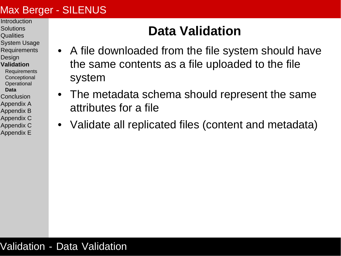- <span id="page-33-0"></span>**[Introduction](#page-2-0) [Solutions](#page-8-0)**
- **[Qualities](#page-9-0)**
- [System Usage](#page-20-0)
- **[Requirements](#page-23-0)**
- **[Design](#page-24-0)**
- **[Validation](#page-29-0)**
- **[Requirements](#page-30-0) [Conceptional](#page-31-0) [Operational](#page-32-0)**
- **[Data](#page-33-0)**
- [Conclusion](#page-34-0)
- [Appendix A](#page-37-0)
- [Appendix B](#page-45-0)
- [Appendix C](#page-50-0)
- [Appendix C](#page-55-0)
- [Appendix E](#page-65-0)

### **Data Validation**

- A file downloaded from the file system should have the same contents as a file uploaded to the file system
- The metadata schema should represent the same attributes for a file
- Validate all replicated files (content and metadata)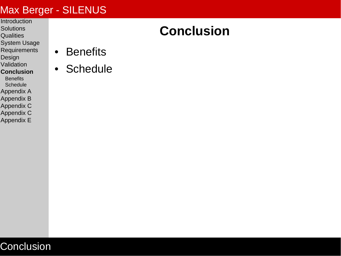- <span id="page-34-0"></span>**[Introduction](#page-2-0) [Solutions](#page-8-0)**
- **[Qualities](#page-9-0)**
- [System Usage](#page-20-0)
- [Requirements](#page-23-0)
- [Design](#page-24-0)
- [Validation](#page-29-0)
- **[Conclusion](#page-34-0)**
- **[Benefits](#page-35-0) [Schedule](#page-36-0)**
- [Appendix A](#page-37-0)
- [Appendix B](#page-45-0)
- [Appendix C](#page-50-0)
- [Appendix C](#page-55-0)
- [Appendix E](#page-65-0)

### **Conclusion**

- [Benefits](#page-35-0)
- [Schedule](#page-36-0)

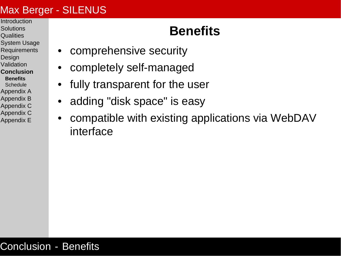- <span id="page-35-0"></span>[Introduction](#page-2-0) **[Solutions](#page-8-0)**
- **[Qualities](#page-9-0)**
- [System Usage](#page-20-0)
- **[Requirements](#page-23-0)**
- **[Design](#page-24-0)**
- [Validation](#page-29-0)
- **[Conclusion](#page-34-0)**
- **[Benefits](#page-35-0)**
- **[Schedule](#page-36-0)**
- [Appendix A](#page-37-0)
- [Appendix B](#page-45-0)
- [Appendix C](#page-50-0)
- [Appendix C](#page-55-0)
- [Appendix E](#page-65-0)

### **Benefits**

- comprehensive security
- completely self-managed
- fully transparent for the user
- adding "disk space" is easy
- compatible with existing applications via WebDAV interface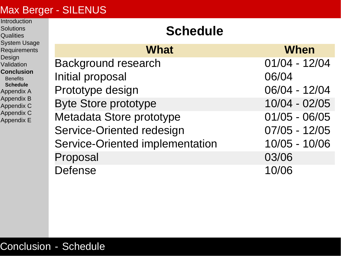<span id="page-36-0"></span>**[Introduction](#page-2-0) [Solutions](#page-8-0) [Qualities](#page-9-0)** 

| <b>System Usage</b><br><b>Requirements</b><br>Design<br>Validation<br><b>Conclusion</b><br><b>Benefits</b><br><b>Schedule</b><br><b>Appendix A</b><br><b>Appendix B</b><br>Appendix C<br>Appendix C<br>Appendix E | <b>What</b>                            | <b>When</b>     |
|-------------------------------------------------------------------------------------------------------------------------------------------------------------------------------------------------------------------|----------------------------------------|-----------------|
|                                                                                                                                                                                                                   | <b>Background research</b>             | $01/04 - 12/04$ |
|                                                                                                                                                                                                                   | Initial proposal                       | 06/04           |
|                                                                                                                                                                                                                   | Prototype design                       | 06/04 - 12/04   |
|                                                                                                                                                                                                                   | <b>Byte Store prototype</b>            | $10/04 - 02/05$ |
|                                                                                                                                                                                                                   | Metadata Store prototype               | $01/05 - 06/05$ |
|                                                                                                                                                                                                                   | Service-Oriented redesign              | $07/05 - 12/05$ |
|                                                                                                                                                                                                                   | <b>Service-Oriented implementation</b> | 10/05 - 10/06   |
|                                                                                                                                                                                                                   | Proposal                               | 03/06           |
|                                                                                                                                                                                                                   | <b>Defense</b>                         | 10/06           |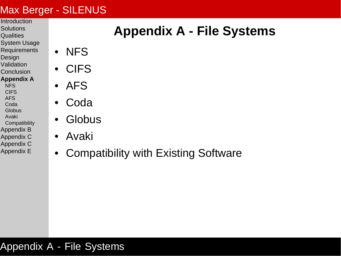- <span id="page-37-0"></span>**[Introduction](#page-2-0)**
- **[Solutions](#page-8-0) [Qualities](#page-9-0)**
- [System Usage](#page-20-0)
- **[Requirements](#page-23-0)**
- [Design](#page-24-0)
- [Validation](#page-29-0)
- **[Conclusion](#page-34-0)**
- **[Appendix A](#page-37-0)**
- **[NFS](#page-38-0) [CIFS](#page-39-0)**
- [AFS](#page-40-0)
- [Coda](#page-41-0) **[Globus](#page-42-0)**
- [Avaki](#page-43-0)
- **[Compatibility](#page-44-0)**
- [Appendix B](#page-45-0)
- [Appendix C](#page-50-0)
- [Appendix C](#page-55-0)
- [Appendix E](#page-65-0)

# **Appendix A - File Systems**

- [NFS](#page-38-0)
- [CIFS](#page-39-0)
- [AFS](#page-40-0)
- **[Coda](#page-41-0)**
- [Globus](#page-42-0)
- [Avaki](#page-43-0)
- [Compatibility with Existing Software](#page-44-0)

#### Appendix A - File Systems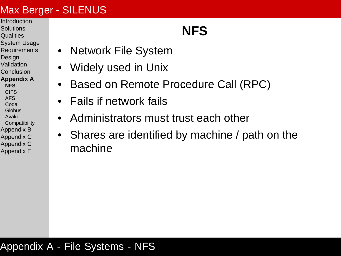- <span id="page-38-0"></span>[Introduction](#page-2-0) **[Solutions](#page-8-0)**
- **[Qualities](#page-9-0)**
- [System Usage](#page-20-0)
- **[Requirements](#page-23-0)**
- **[Design](#page-24-0)**
- [Validation](#page-29-0)
- [Conclusion](#page-34-0)
- **[Appendix A](#page-37-0)**
- **[NFS](#page-38-0) [CIFS](#page-39-0)**
- [AFS](#page-40-0)
- [Coda](#page-41-0)
- [Globus](#page-42-0)
- [Avaki](#page-43-0)
- **[Compatibility](#page-44-0)**
- [Appendix B](#page-45-0)
- [Appendix C](#page-50-0) [Appendix C](#page-55-0)
- [Appendix E](#page-65-0)

# **NFS**

- Network File System
- Widely used in Unix
- Based on Remote Procedure Call (RPC)
- Fails if network fails
- Administrators must trust each other
- Shares are identified by machine / path on the machine

#### Appendix A - File Systems - NFS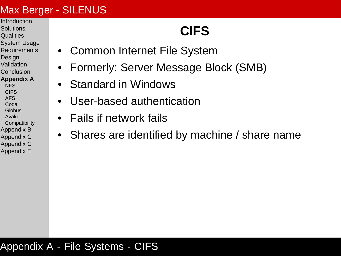- <span id="page-39-0"></span>[Introduction](#page-2-0) **[Solutions](#page-8-0)**
- **[Qualities](#page-9-0)**
- [System Usage](#page-20-0)
- **[Requirements](#page-23-0)**
- **[Design](#page-24-0)**
- [Validation](#page-29-0)
- [Conclusion](#page-34-0)
- **[Appendix A](#page-37-0)**
- [NFS](#page-38-0) **[CIFS](#page-39-0)**
- [AFS](#page-40-0)
- [Coda](#page-41-0)
- [Globus](#page-42-0)
- [Avaki](#page-43-0)
- **[Compatibility](#page-44-0)**
- [Appendix B](#page-45-0)
- [Appendix C](#page-50-0) [Appendix C](#page-55-0)
- [Appendix E](#page-65-0)

# **CIFS**

- Common Internet File System
- Formerly: Server Message Block (SMB)
- Standard in Windows
- User-based authentication
- Fails if network fails
- Shares are identified by machine / share name

#### Appendix A - File Systems - CIFS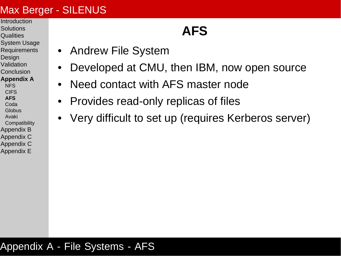- <span id="page-40-0"></span>[Introduction](#page-2-0) **[Solutions](#page-8-0)**
- **[Qualities](#page-9-0)**
- [System Usage](#page-20-0)
- **[Requirements](#page-23-0)**
- **[Design](#page-24-0)**
- [Validation](#page-29-0)
- [Conclusion](#page-34-0)

#### **[Appendix A](#page-37-0)**

- [NFS](#page-38-0) **[CIFS](#page-39-0)**
- **[AFS](#page-40-0)**
- [Coda](#page-41-0)
- [Globus](#page-42-0)
- [Avaki](#page-43-0)
- **[Compatibility](#page-44-0)**
- [Appendix B](#page-45-0)
- [Appendix C](#page-50-0)
- [Appendix C](#page-55-0)
- [Appendix E](#page-65-0)

## **AFS**

- Andrew File System
- Developed at CMU, then IBM, now open source
- Need contact with AFS master node
- Provides read-only replicas of files
- Very difficult to set up (requires Kerberos server)

#### Appendix A - File Systems - AFS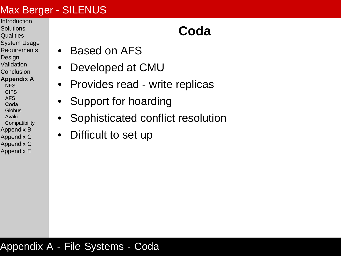- <span id="page-41-0"></span>[Introduction](#page-2-0) **[Solutions](#page-8-0)**
- **[Qualities](#page-9-0)**
- [System Usage](#page-20-0)
- **[Requirements](#page-23-0)**
- **[Design](#page-24-0)**
- [Validation](#page-29-0)
- [Conclusion](#page-34-0)

#### **[Appendix A](#page-37-0)**

- **[NFS](#page-38-0) [CIFS](#page-39-0)**
- [AFS](#page-40-0)
- **[Coda](#page-41-0)**
- **[Globus](#page-42-0)**
- [Avaki](#page-43-0)
- **[Compatibility](#page-44-0)**
- [Appendix B](#page-45-0)
- [Appendix C](#page-50-0)
- [Appendix C](#page-55-0) [Appendix E](#page-65-0)

## **Coda**

- Based on AFS
	- Developed at CMU
- Provides read write replicas
- Support for hoarding
- Sophisticated conflict resolution
- Difficult to set up

#### Appendix A - File Systems - Coda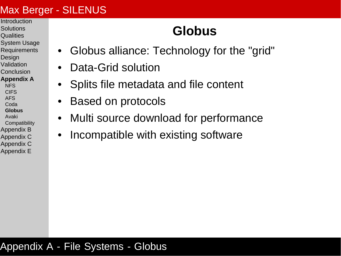- <span id="page-42-0"></span>[Introduction](#page-2-0) **[Solutions](#page-8-0)**
- **[Qualities](#page-9-0)**
- [System Usage](#page-20-0)
- **[Requirements](#page-23-0)**
- **[Design](#page-24-0)**
- [Validation](#page-29-0)
- [Conclusion](#page-34-0)
- **[Appendix A](#page-37-0)**
- [NFS](#page-38-0) **[CIFS](#page-39-0)**
- [AFS](#page-40-0)
- [Coda](#page-41-0)
- **[Globus](#page-42-0)**
- [Avaki](#page-43-0)
- **[Compatibility](#page-44-0)**
- [Appendix B](#page-45-0)
- [Appendix C](#page-50-0) [Appendix C](#page-55-0)
- [Appendix E](#page-65-0)

# **Globus**

- Globus alliance: Technology for the "grid"
	- Data-Grid solution
- Splits file metadata and file content
- Based on protocols
- Multi source download for performance
- Incompatible with existing software

#### Appendix A - File Systems - Globus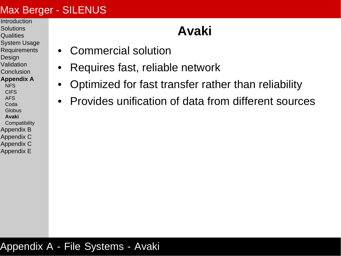- <span id="page-43-0"></span>**[Introduction](#page-2-0) [Solutions](#page-8-0)**
- **[Qualities](#page-9-0)**
- [System Usage](#page-20-0)
- **[Requirements](#page-23-0)**
- [Design](#page-24-0)
- [Validation](#page-29-0)
- [Conclusion](#page-34-0)

#### **[Appendix A](#page-37-0)**

- **[NFS](#page-38-0) [CIFS](#page-39-0)**
- [AFS](#page-40-0)
- [Coda](#page-41-0)
- **[Globus](#page-42-0) [Avaki](#page-43-0)**
- 
- **[Compatibility](#page-44-0)**
- [Appendix B](#page-45-0) [Appendix C](#page-50-0)
- [Appendix C](#page-55-0)
- [Appendix E](#page-65-0)

# **Avaki**

- Commercial solution
- Requires fast, reliable network
- Optimized for fast transfer rather than reliability
- Provides unification of data from different sources

#### Appendix A - File Systems - Avaki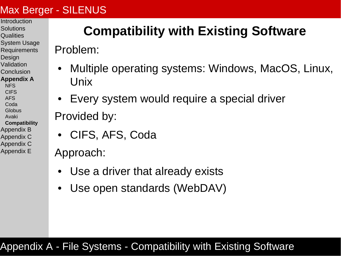- <span id="page-44-0"></span>[Introduction](#page-2-0) **[Solutions](#page-8-0)**
- **[Qualities](#page-9-0)**
- [System Usage](#page-20-0)
- **[Requirements](#page-23-0)**
- **[Design](#page-24-0)**
- [Validation](#page-29-0)
- [Conclusion](#page-34-0)
- **[Appendix A](#page-37-0)**
- [NFS](#page-38-0) **[CIFS](#page-39-0)**
- [AFS](#page-40-0)
- [Coda](#page-41-0)
- **[Globus](#page-42-0)**
- [Avaki](#page-43-0)
- **[Compatibility](#page-44-0)**
- [Appendix B](#page-45-0)
- [Appendix C](#page-50-0)
- [Appendix C](#page-55-0)
- [Appendix E](#page-65-0)

# **Compatibility with Existing Software**

Problem:

- Multiple operating systems: Windows, MacOS, Linux, Unix
- Every system would require a special driver Provided by:
- CIFS, AFS, Coda

Approach:

- Use a driver that already exists
- Use open standards (WebDAV)

### Appendix A - File Systems - Compatibility with Existing Software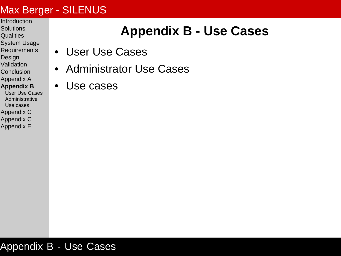- <span id="page-45-0"></span>**[Introduction](#page-2-0)**
- **[Solutions](#page-8-0) [Qualities](#page-9-0)**
- [System Usage](#page-20-0)
- [Requirements](#page-23-0)
- [Design](#page-24-0)
- **[Validation](#page-29-0)**
- **[Conclusion](#page-34-0)**
- [Appendix A](#page-37-0)
- **[Appendix B](#page-45-0)** [User Use Cases](#page-46-0)
- [Administrative](#page-48-0)
- [Use cases](#page-49-0) [Appendix C](#page-50-0)
- [Appendix C](#page-55-0)
- [Appendix E](#page-65-0)

## **Appendix B - Use Cases**

- [User Use Cases](#page-46-0)
- [Administrator Use Cases](#page-48-0)
- [Use cases](#page-49-0)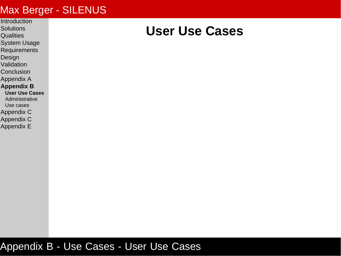- <span id="page-46-0"></span>**[Introduction](#page-2-0)**
- **[Solutions](#page-8-0) [Qualities](#page-9-0)**
- 
- [System Usage](#page-20-0) [Requirements](#page-23-0)
- 
- [Design](#page-24-0)
- [Validation](#page-29-0)
- **[Conclusion](#page-34-0)**
- [Appendix A](#page-37-0)
- **[Appendix B](#page-45-0)**
- **[User Use Cases](#page-46-0)** [Administrative](#page-48-0)
- [Use cases](#page-49-0)
- [Appendix C](#page-50-0)
- [Appendix C](#page-55-0)
- [Appendix E](#page-65-0)

### **User Use Cases**

#### Appendix B - Use Cases - User Use Cases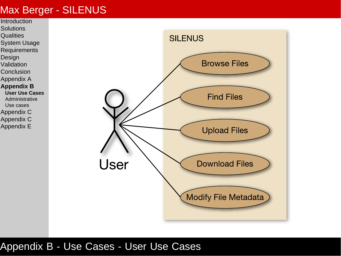

#### Appendix B - Use Cases - User Use Cases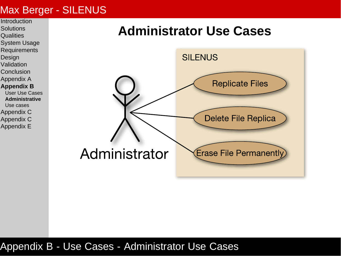<span id="page-48-0"></span>

### **Administrator Use Cases**



#### Appendix B - Use Cases - Administrator Use Cases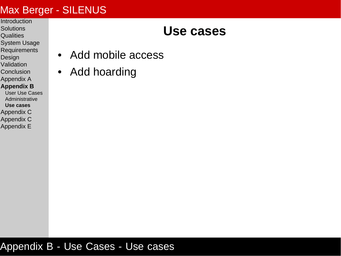- <span id="page-49-0"></span>**[Introduction](#page-2-0)**
- **[Solutions](#page-8-0) [Qualities](#page-9-0)**
- [System Usage](#page-20-0)
- **[Requirements](#page-23-0)**
- [Design](#page-24-0)
- [Validation](#page-29-0)
- **[Conclusion](#page-34-0)**
- [Appendix A](#page-37-0)
- **[Appendix B](#page-45-0)**
- [User Use Cases](#page-46-0) [Administrative](#page-48-0) **[Use cases](#page-49-0)** [Appendix C](#page-50-0)
- [Appendix C](#page-55-0)
- [Appendix E](#page-65-0)

### **Use cases**

- Add mobile access
- Add hoarding

#### Appendix B - Use Cases - Use cases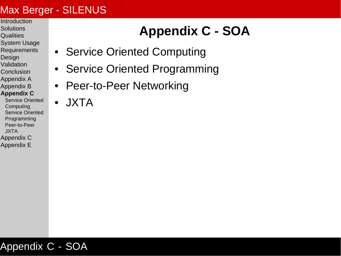- <span id="page-50-0"></span>**[Introduction](#page-2-0)**
- **[Solutions](#page-8-0) [Qualities](#page-9-0)**
- [System Usage](#page-20-0)
- **[Requirements](#page-23-0)**
- [Design](#page-24-0)
- [Validation](#page-29-0)
- **[Conclusion](#page-34-0)**
- [Appendix A](#page-37-0)
- [Appendix B](#page-45-0)

#### **[Appendix C](#page-50-0)**

- [Service Oriented](#page-51-0) **[Computing](#page-51-0)** [Service Oriented](#page-52-0) [Programming](#page-52-0) [Peer-to-Peer](#page-53-0) [JXTA](#page-54-0)
- [Appendix C](#page-55-0)
- [Appendix E](#page-65-0)

# **Appendix C - SOA**

- [Service Oriented Computing](#page-51-0)
- [Service Oriented Programming](#page-52-0)
- [Peer-to-Peer Networking](#page-53-0)
- [JXTA](#page-54-0)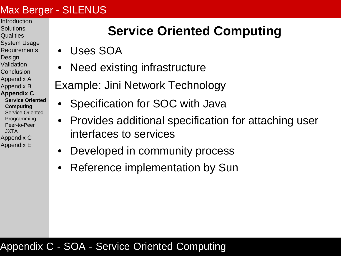- <span id="page-51-0"></span>[Introduction](#page-2-0)
- **[Solutions](#page-8-0) [Qualities](#page-9-0)**
- [System Usage](#page-20-0)
- **[Requirements](#page-23-0)**
- **[Design](#page-24-0)**
- [Validation](#page-29-0)
- [Conclusion](#page-34-0)
- [Appendix A](#page-37-0)
- [Appendix B](#page-45-0)
- **[Appendix C](#page-50-0)**
- **[Service Oriented](#page-51-0) [Computing](#page-51-0)** [Service Oriented](#page-52-0) [Programming](#page-52-0) [Peer-to-Peer](#page-53-0) [JXTA](#page-54-0) [Appendix C](#page-55-0)
- [Appendix E](#page-65-0)

## **Service Oriented Computing**

- Uses SOA
- Need existing infrastructure
- Example: Jini Network Technology
	- Specification for SOC with Java
- Provides additional specification for attaching user interfaces to services
- Developed in community process
- Reference implementation by Sun

#### Appendix C - SOA - Service Oriented Computing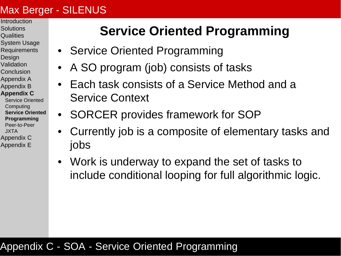- <span id="page-52-0"></span>[Introduction](#page-2-0)
- **[Solutions](#page-8-0) [Qualities](#page-9-0)**
- [System Usage](#page-20-0)
- **[Requirements](#page-23-0)**
- **[Design](#page-24-0)**
- [Validation](#page-29-0)
- [Conclusion](#page-34-0)
- [Appendix A](#page-37-0)
- [Appendix B](#page-45-0)

#### **[Appendix C](#page-50-0)**

- [Service Oriented](#page-51-0) **[Computing](#page-51-0) [Service Oriented](#page-52-0) [Programming](#page-52-0)** [Peer-to-Peer](#page-53-0) [JXTA](#page-54-0) [Appendix C](#page-55-0)
- [Appendix E](#page-65-0)

## **Service Oriented Programming**

- Service Oriented Programming
- A SO program (job) consists of tasks
- Each task consists of a Service Method and a Service Context
- SORCER provides framework for SOP
- Currently job is a composite of elementary tasks and jobs
- Work is underway to expand the set of tasks to include conditional looping for full algorithmic logic.

#### Appendix C - SOA - Service Oriented Programming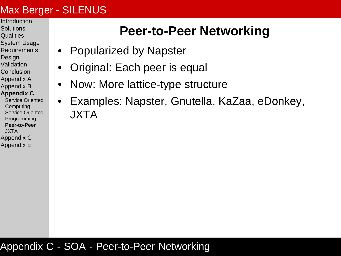- <span id="page-53-0"></span>[Introduction](#page-2-0)
- **[Solutions](#page-8-0) [Qualities](#page-9-0)**
- [System Usage](#page-20-0)
- **[Requirements](#page-23-0)**
- **[Design](#page-24-0)**
- [Validation](#page-29-0)
- [Conclusion](#page-34-0)
- [Appendix A](#page-37-0)
- [Appendix B](#page-45-0) **[Appendix C](#page-50-0)**
- [Service Oriented](#page-51-0) **[Computing](#page-51-0)** [Service Oriented](#page-52-0) [Programming](#page-52-0) **[Peer-to-Peer](#page-53-0)**
- [JXTA](#page-54-0)
- [Appendix C](#page-55-0)
- [Appendix E](#page-65-0)

### **Peer-to-Peer Networking**

- Popularized by Napster
- Original: Each peer is equal
- Now: More lattice-type structure
- Examples: Napster, Gnutella, KaZaa, eDonkey, JXTA

#### Appendix C - SOA - Peer-to-Peer Networking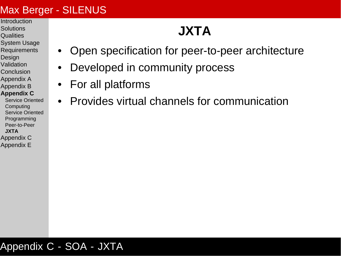- <span id="page-54-0"></span>**[Introduction](#page-2-0) [Solutions](#page-8-0)**
- **[Qualities](#page-9-0)**
- [System Usage](#page-20-0)
- **[Requirements](#page-23-0)**
- **[Design](#page-24-0)**
- [Validation](#page-29-0)
- [Conclusion](#page-34-0)
- [Appendix A](#page-37-0)
- [Appendix B](#page-45-0)
- **[Appendix C](#page-50-0)**
- [Service Oriented](#page-51-0) **[Computing](#page-51-0)** [Service Oriented](#page-52-0) [Programming](#page-52-0) [Peer-to-Peer](#page-53-0) **[JXTA](#page-54-0)** [Appendix C](#page-55-0)
- [Appendix E](#page-65-0)

# **JXTA**

- Open specification for peer-to-peer architecture
- Developed in community process
- For all platforms
- Provides virtual channels for communication

#### Appendix C - SOA - JXTA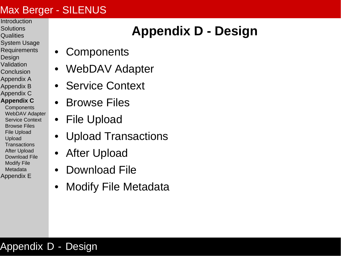- <span id="page-55-0"></span>[Introduction](#page-2-0) **[Solutions](#page-8-0)**
- **[Qualities](#page-9-0)**
- [System Usage](#page-20-0)
- **[Requirements](#page-23-0)**
- **[Design](#page-24-0)**
- [Validation](#page-29-0)
- [Conclusion](#page-34-0)
- [Appendix A](#page-37-0)
- [Appendix B](#page-45-0) [Appendix C](#page-50-0)
- **[Appendix C](#page-55-0)**
- **[Components](#page-56-0)** [WebDAV Adapter](#page-57-0) [Service Context](#page-58-0) [Browse Files](#page-59-0) [File Upload](#page-60-0) [Upload](#page-61-0) **[Transactions](#page-61-0)** [After Upload](#page-62-0) [Download File](#page-63-0) [Modify File](#page-64-0) **[Metadata](#page-64-0)**
- [Appendix E](#page-65-0)

# **Appendix D - Design**

- [Components](#page-56-0)
- [WebDAV Adapter](#page-57-0)
- [Service Context](#page-58-0)
- [Browse Files](#page-59-0)
- [File Upload](#page-60-0)
- [Upload Transactions](#page-61-0)
- [After Upload](#page-62-0)
- [Download File](#page-63-0)
- [Modify File Metadata](#page-64-0)

#### Appendix D - Design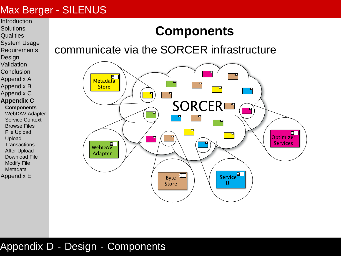<span id="page-56-0"></span>**[Introduction](#page-2-0) [Solutions](#page-8-0)** 

- **[Qualities](#page-9-0)**
- [System Usage](#page-20-0)
- **[Requirements](#page-23-0)**
- **[Design](#page-24-0)**
- [Validation](#page-29-0)
- [Conclusion](#page-34-0)
- [Appendix A](#page-37-0)
- [Appendix B](#page-45-0)
- [Appendix C](#page-50-0)
- **[Appendix C](#page-55-0)**
- **[Components](#page-56-0)**
- [WebDAV Adapter](#page-57-0)
- [Service Context](#page-58-0)
- [Browse Files](#page-59-0)
- [File Upload](#page-60-0)
- [Upload](#page-61-0)
- **[Transactions](#page-61-0)**
- [After Upload](#page-62-0)
- [Download File](#page-63-0)
- [Modify File](#page-64-0)
- [Metadata](#page-64-0)
- [Appendix E](#page-65-0)

## **Components**

communicate via the SORCER infrastructure



#### Appendix D - Design - Components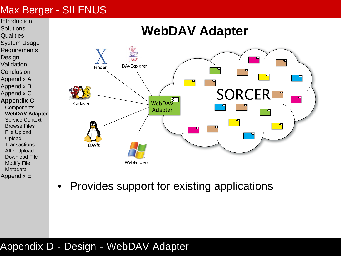<span id="page-57-0"></span>

- [Appendix E](#page-65-0)
- Provides support for existing applications

#### Appendix D - Design - WebDAV Adapter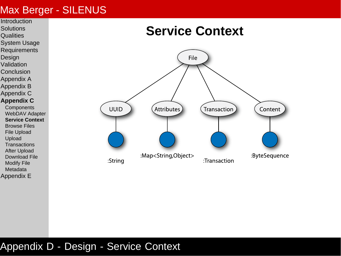<span id="page-58-0"></span>

[Appendix E](#page-65-0)

### **Service Context**



#### Appendix D - Design - Service Context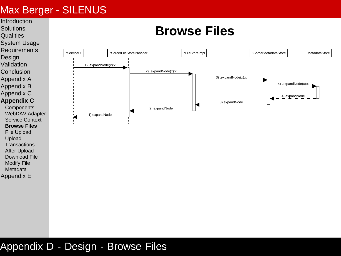<span id="page-59-0"></span>

#### Appendix D - Design - Browse Files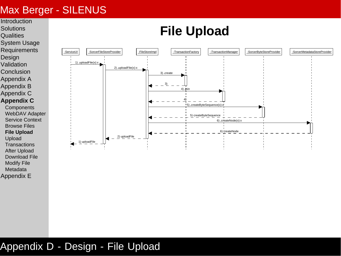<span id="page-60-0"></span>

#### Appendix D - Design - File Upload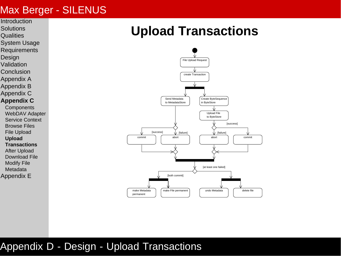- <span id="page-61-0"></span>**[Introduction](#page-2-0)**
- **[Solutions](#page-8-0)**
- **[Qualities](#page-9-0)**
- [System Usage](#page-20-0)
- **[Requirements](#page-23-0)**
- **[Design](#page-24-0)**
- [Validation](#page-29-0)
- [Conclusion](#page-34-0)
- [Appendix A](#page-37-0)
- [Appendix B](#page-45-0)
- [Appendix C](#page-50-0)
- **[Appendix C](#page-55-0)**
- **[Components](#page-56-0)** [WebDAV Adapter](#page-57-0)
- [Service Context](#page-58-0)
- [Browse Files](#page-59-0)
- [File Upload](#page-60-0)
- **[Upload](#page-61-0)**
- **[Transactions](#page-61-0)**
- [After Upload](#page-62-0)
- [Download File](#page-63-0)
- [Modify File](#page-64-0)
- [Metadata](#page-64-0)
- [Appendix E](#page-65-0)

### **Upload Transactions**



#### Appendix D - Design - Upload Transactions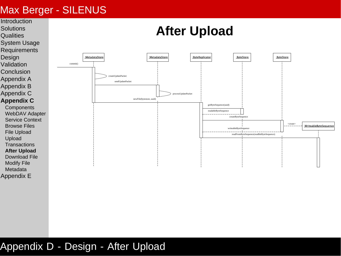<span id="page-62-0"></span>

#### Appendix D - Design - After Upload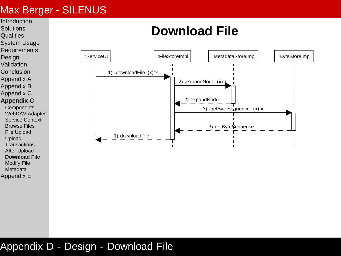[Metadata](#page-64-0) [Appendix E](#page-65-0)

#### <span id="page-63-0"></span>**[Introduction](#page-2-0) [Solutions](#page-8-0) [Qualities](#page-9-0)** [System Usage](#page-20-0) **[Requirements](#page-23-0) [Design](#page-24-0)** [Validation](#page-29-0) [Conclusion](#page-34-0) [Appendix A](#page-37-0) [Appendix B](#page-45-0) [Appendix C](#page-50-0) **[Appendix C](#page-55-0) [Components](#page-56-0)** [WebDAV Adapter](#page-57-0) [Service Context](#page-58-0) [Browse Files](#page-59-0) [File Upload](#page-60-0) [Upload](#page-61-0) **[Transactions](#page-61-0)** [After Upload](#page-62-0) **[Download File](#page-63-0)** [Modify File](#page-64-0) **Download File** :ServiceUI | :FileStoreImpl | :MetadataStoreImpl | :ByteStoreImpl | 1) **.**downloadFile (x):x 1) downloadFile 2) **.**expandNode (x):x 2) expandNode 3) **.**getByteSequence (x):x 3) getByte\$equence

#### Appendix D - Design - Download File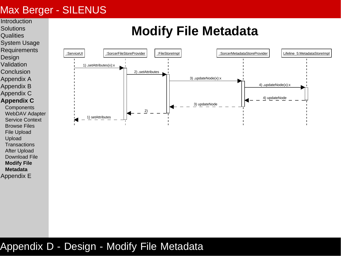- <span id="page-64-0"></span>**[Introduction](#page-2-0) [Solutions](#page-8-0)**
- **[Qualities](#page-9-0)**
- 
- [System Usage](#page-20-0)
- **[Requirements](#page-23-0)**
- **[Design](#page-24-0)**
- [Validation](#page-29-0)
- [Conclusion](#page-34-0) [Appendix A](#page-37-0)
- [Appendix B](#page-45-0)
- 
- [Appendix C](#page-50-0)
- **[Appendix C](#page-55-0)**
- **[Components](#page-56-0)** [WebDAV Adapter](#page-57-0) [Service Context](#page-58-0) [Browse Files](#page-59-0) [File Upload](#page-60-0) [Upload](#page-61-0) **[Transactions](#page-61-0)**
- [After Upload](#page-62-0) [Download File](#page-63-0)
- **[Modify File](#page-64-0)**
- **[Metadata](#page-64-0)**
- [Appendix E](#page-65-0)

### **Modify File Metadata**



#### Appendix D - Design - Modify File Metadata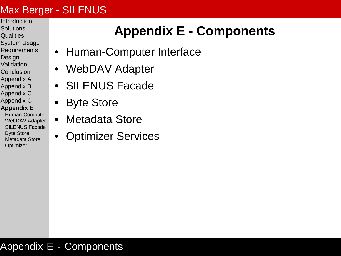- <span id="page-65-0"></span>**[Introduction](#page-2-0)**
- **[Solutions](#page-8-0) [Qualities](#page-9-0)**
- [System Usage](#page-20-0)
- **[Requirements](#page-23-0)**
- **[Design](#page-24-0)**
- [Validation](#page-29-0)
- [Conclusion](#page-34-0)
- [Appendix A](#page-37-0)
- [Appendix B](#page-45-0) [Appendix C](#page-50-0)
- [Appendix C](#page-55-0)
- **[Appendix E](#page-65-0)**
- [Human-Computer](#page-66-0) [WebDAV Adapter](#page-67-0) [SILENUS Facade](#page-68-0) [Byte Store](#page-69-0) [Metadata Store](#page-70-0) **[Optimizer](#page-72-0)**

## **Appendix E - Components**

- [Human-Computer Interface](#page-66-0)
- [WebDAV Adapter](#page-67-0)
- [SILENUS Facade](#page-68-0)
- [Byte Store](#page-69-0)
- [Metadata Store](#page-70-0)
- [Optimizer Services](#page-72-0)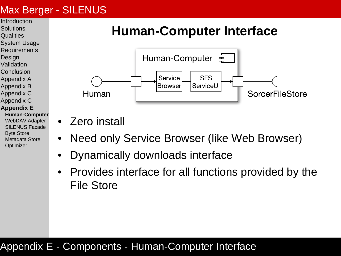- <span id="page-66-0"></span>**[Introduction](#page-2-0)**
- **[Solutions](#page-8-0) [Qualities](#page-9-0)**
- 
- [System Usage](#page-20-0)
- **[Requirements](#page-23-0)**
- **[Design](#page-24-0)**
- [Validation](#page-29-0)
- [Conclusion](#page-34-0)
- [Appendix A](#page-37-0)
- [Appendix B](#page-45-0)
- [Appendix C](#page-50-0)
- [Appendix C](#page-55-0)

#### **[Appendix E](#page-65-0)**

**[Human-Computer](#page-66-0)** [WebDAV Adapter](#page-67-0) [SILENUS Facade](#page-68-0) [Byte Store](#page-69-0) [Metadata Store](#page-70-0) **[Optimizer](#page-72-0)** 

### **Human-Computer Interface**



- Zero install
- Need only Service Browser (like Web Browser)
	- Dynamically downloads interface
- Provides interface for all functions provided by the File Store

#### Appendix E - Components - Human-Computer Interface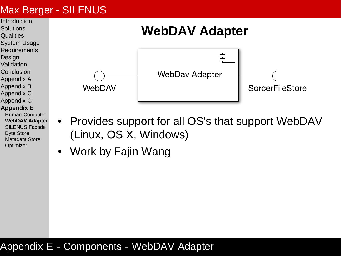<span id="page-67-0"></span>

**[Appendix E](#page-65-0)**

[Appendix B](#page-45-0)

**[Solutions](#page-8-0) [Qualities](#page-9-0)** 

**[Design](#page-24-0)** [Validation](#page-29-0) [Conclusion](#page-34-0)

- [Human-Computer](#page-66-0) **[WebDAV Adapter](#page-67-0)** [SILENUS Facade](#page-68-0) [Byte Store](#page-69-0) [Metadata Store](#page-70-0) **[Optimizer](#page-72-0)**
- Provides support for all OS's that support WebDAV (Linux, OS X, Windows)

SorcerFileStore

• Work by Fajin Wang

#### Appendix E - Components - WebDAV Adapter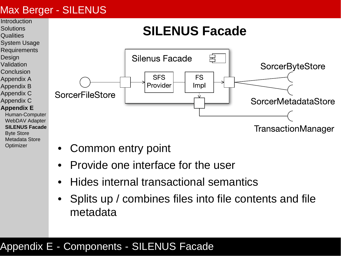**[Optimizer](#page-72-0)** 

<span id="page-68-0"></span>

- Common entry point
- Provide one interface for the user
- Hides internal transactional semantics
- Splits up / combines files into file contents and file metadata

#### Appendix E - Components - SILENUS Facade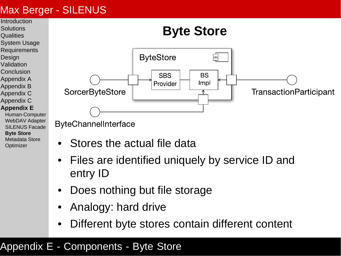<span id="page-69-0"></span>

- **[Solutions](#page-8-0)**
- **[Qualities](#page-9-0)**
- [System Usage](#page-20-0)
- **[Requirements](#page-23-0)**
- **[Design](#page-24-0)**
- [Validation](#page-29-0)
- [Conclusion](#page-34-0)
- [Appendix A](#page-37-0)
- [Appendix B](#page-45-0)
- [Appendix C](#page-50-0)
- [Appendix C](#page-55-0)

#### **[Appendix E](#page-65-0)**

[Human-Computer](#page-66-0) [WebDAV Adapter](#page-67-0) [SILENUS Facade](#page-68-0) **[Byte Store](#page-69-0)** [Metadata Store](#page-70-0) **[Optimizer](#page-72-0)** 



ByteChannelInterface

- Stores the actual file data
- Files are identified uniquely by service ID and entry ID
- Does nothing but file storage
- Analogy: hard drive
- Different byte stores contain different content

#### Appendix E - Components - Byte Store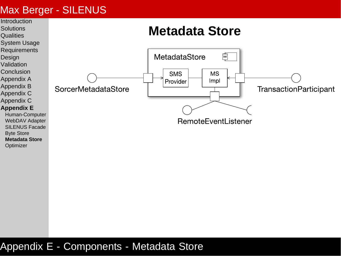<span id="page-70-0"></span>

#### Appendix E - Components - Metadata Store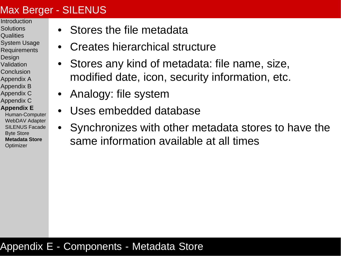- [Introduction](#page-2-0)
- **[Solutions](#page-8-0) [Qualities](#page-9-0)**
- [System Usage](#page-20-0)
- **[Requirements](#page-23-0)**
- **[Design](#page-24-0)**
- [Validation](#page-29-0)
- [Conclusion](#page-34-0)
- [Appendix A](#page-37-0)
- [Appendix B](#page-45-0)
- [Appendix C](#page-50-0)
- [Appendix C](#page-55-0)
- **[Appendix E](#page-65-0)**
- [Human-Computer](#page-66-0) [WebDAV Adapter](#page-67-0) [SILENUS Facade](#page-68-0) [Byte Store](#page-69-0) **[Metadata Store](#page-70-0) [Optimizer](#page-72-0)**
- Stores the file metadata
- Creates hierarchical structure
- Stores any kind of metadata: file name, size, modified date, icon, security information, etc.
- Analogy: file system
- Uses embedded database
- Synchronizes with other metadata stores to have the same information available at all times

#### Appendix E - Components - Metadata Store